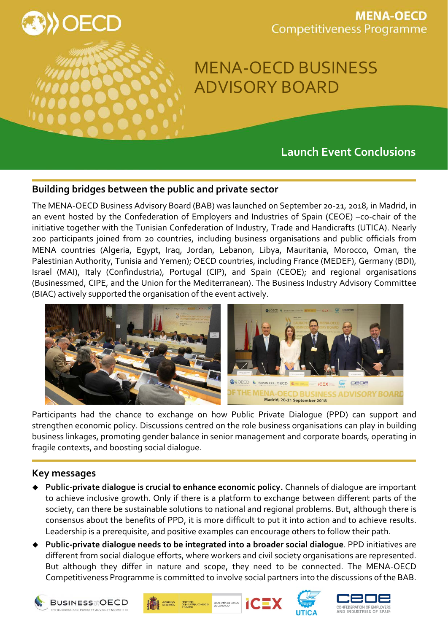

## **MENA-OECD Competitiveness Programme**

# MENA-OECD BUSINESS ADVISORY BOARD

## **Launch Event Conclusions**

### **Building bridges between the public and private sector**

The MENA-OECD Business Advisory Board (BAB) was launched on September 20-21, 2018, in Madrid, in an event hosted by the Confederation of Employers and Industries of Spain (CEOE) –co-chair of the initiative together with the Tunisian Confederation of Industry, Trade and Handicrafts (UTICA). Nearly 200 participants joined from 20 countries, including business organisations and public officials from MENA countries (Algeria, Egypt, Iraq, Jordan, Lebanon, Libya, Mauritania, Morocco, Oman, the Palestinian Authority, Tunisia and Yemen); OECD countries, including France (MEDEF), Germany (BDI), Israel (MAI), Italy (Confindustria), Portugal (CIP), and Spain (CEOE); and regional organisations (Businessmed, CIPE, and the Union for the Mediterranean). The Business Industry Advisory Committee (BIAC) actively supported the organisation of the event actively.



Participants had the chance to exchange on how Public Private Dialogue (PPD) can support and strengthen economic policy. Discussions centred on the role business organisations can play in building business linkages, promoting gender balance in senior management and corporate boards, operating in fragile contexts, and boosting social dialogue.

#### **Key messages**

- **Public-private dialogue is crucial to enhance economic policy.** Channels of dialogue are important to achieve inclusive growth. Only if there is a platform to exchange between different parts of the society, can there be sustainable solutions to national and regional problems. But, although there is consensus about the benefits of PPD, it is more difficult to put it into action and to achieve results. Leadership is a prerequisite, and positive examples can encourage others to follow their path.
- **Public-private dialogue needs to be integrated into a broader social dialogue**. PPD initiatives are different from social dialogue efforts, where workers and civil society organisations are represented. But although they differ in nature and scope, they need to be connected. The MENA-OECD Competitiveness Programme is committed to involve social partners into the discussions of the BAB.